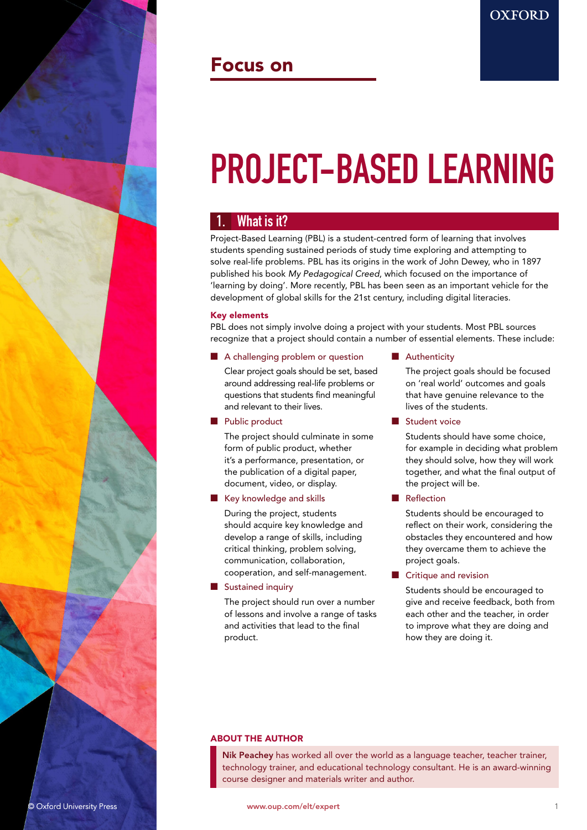

# Focus on

# PROJECT-BASED LEARNING

# What is it?

Project-Based Learning (PBL) is a student-centred form of learning that involves students spending sustained periods of study time exploring and attempting to solve real-life problems. PBL has its origins in the work of John Dewey, who in 1897 published his book *My Pedagogical Creed*, which focused on the importance of 'learning by doing'. More recently, PBL has been seen as an important vehicle for the development of global skills for the 21st century, including digital literacies.

# Key elements

PBL does not simply involve doing a project with your students. Most PBL sources recognize that a project should contain a number of essential elements. These include:

# ■ A challenging problem or question

Clear project goals should be set, based around addressing real-life problems or questions that students find meaningful and relevant to their lives.

# ■ Public product

The project should culminate in some form of public product, whether it's a performance, presentation, or the publication of a digital paper, document, video, or display.

# ■ Key knowledge and skills

During the project, students should acquire key knowledge and develop a range of skills, including critical thinking, problem solving, communication, collaboration, cooperation, and self-management.

# ■ Sustained inquiry

The project should run over a number of lessons and involve a range of tasks and activities that lead to the final product.

# ■ Authenticity

The project goals should be focused on 'real world' outcomes and goals that have genuine relevance to the lives of the students.

**OXFORD** 

■ Student voice

Students should have some choice, for example in deciding what problem they should solve, how they will work together, and what the final output of the project will be.

**Reflection** 

Students should be encouraged to reflect on their work, considering the obstacles they encountered and how they overcame them to achieve the project goals.

Critique and revision

Students should be encouraged to give and receive feedback, both from each other and the teacher, in order to improve what they are doing and how they are doing it.

# ABOUT THE AUTHOR

Nik Peachey has worked all over the world as a language teacher, teacher trainer, technology trainer, and educational technology consultant. He is an award-winning course designer and materials writer and author.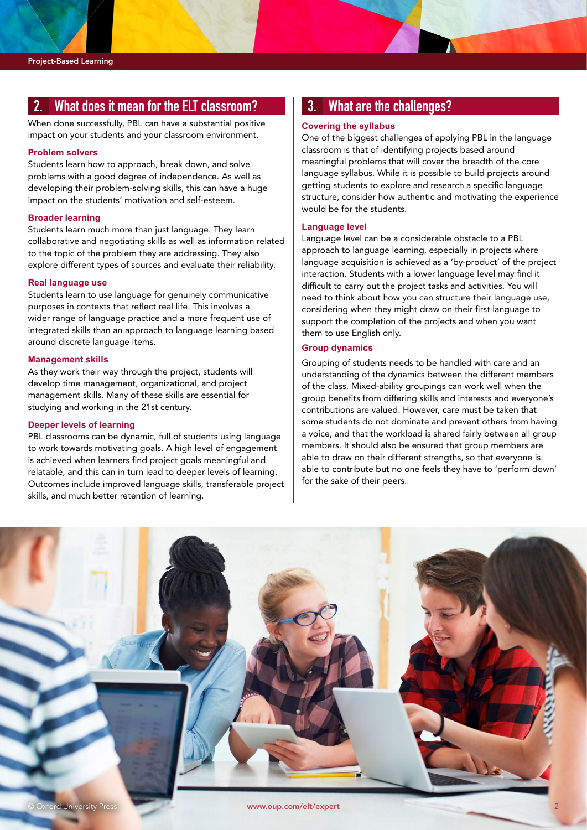# 2. What does it mean for the ELT classroom?

When done successfully, PBL can have a substantial positive impact on your students and your classroom environment.

#### **Problem solvers**

Students learn how to approach, break down, and solve problems with a good degree of independence. As well as developing their problem-solving skills, this can have a huge impact on the students' motivation and self-esteem.

#### **Broader learning**

Students learn much more than just language. They learn collaborative and negotiating skills as well as information related to the topic of the problem they are addressing. They also explore different types of sources and evaluate their reliability.

## **Real language use**

Students learn to use language for genuinely communicative purposes in contexts that reflect real life. This involves a wider range of language practice and a more frequent use of integrated skills than an approach to language learning based around discrete language items.

#### **Management skills**

As they work their way through the project, students will develop time management, organizational, and project management skills. Many of these skills are essential for studying and working in the 21st century.

## **Deeper levels of learning**

PBL classrooms can be dynamic, full of students using language to work towards motivating goals. A high level of engagement is achieved when learners find project goals meaningful and relatable, and this can in turn lead to deeper levels of learning. Outcomes include improved language skills, transferable project skills, and much better retention of learning.

# 3. What are the challenges?

#### **Covering the syllabus**

One of the biggest challenges of applying PBL in the language classroom is that of identifying projects based around meaningful problems that will cover the breadth of the core language syllabus. While it is possible to build projects around getting students to explore and research a specific language structure, consider how authentic and motivating the experience would be for the students.

#### **Language level**

Language level can be a considerable obstacle to a PBL approach to language learning, especially in projects where language acquisition is achieved as a 'by-product' of the project interaction. Students with a lower language level may find it difficult to carry out the project tasks and activities. You will need to think about how you can structure their language use, considering when they might draw on their first language to support the completion of the projects and when you want them to use English only.

## **Group dynamics**

Grouping of students needs to be handled with care and an understanding of the dynamics between the different members of the class. Mixed-ability groupings can work well when the group benefits from differing skills and interests and everyone's contributions are valued. However, care must be taken that some students do not dominate and prevent others from having a voice, and that the workload is shared fairly between all group members. It should also be ensured that group members are able to draw on their different strengths, so that everyone is able to contribute but no one feels they have to 'perform down' for the sake of their peers.

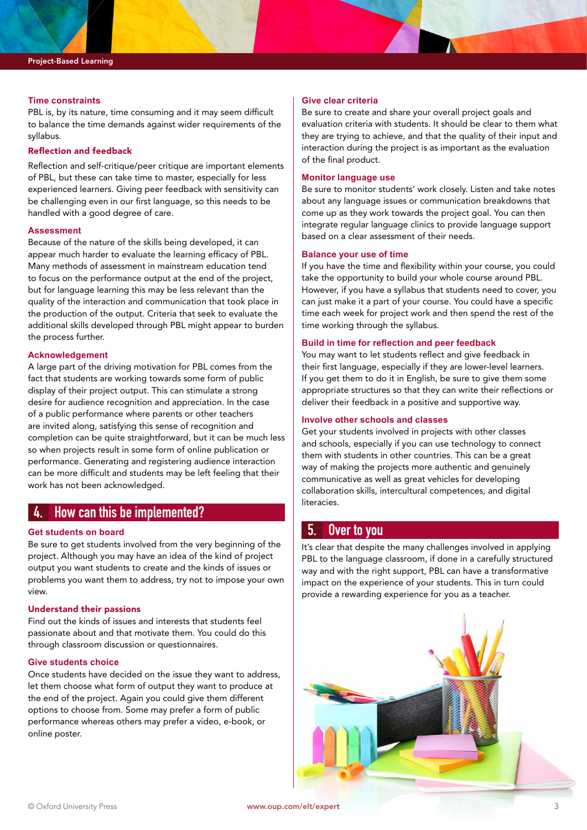## **Time constraints**

PBL is, by its nature, time consuming and it may seem difficult to balance the time demands against wider requirements of the syllabus.

# Reflection and feedback

Reflection and self-critique/peer critique are important elements of PBL, but these can take time to master, especially for less experienced learners. Giving peer feedback with sensitivity can be challenging even in our first language, so this needs to be handled with a good degree of care.

#### **Assessment**

Because of the nature of the skills being developed, it can appear much harder to evaluate the learning efficacy of PBL. Many methods of assessment in mainstream education tend to focus on the performance output at the end of the project, but for language learning this may be less relevant than the quality of the interaction and communication that took place in the production of the output. Criteria that seek to evaluate the additional skills developed through PBL might appear to burden the process further.

# **Acknowledgement**

A large part of the driving motivation for PBL comes from the fact that students are working towards some form of public display of their project output. This can stimulate a strong desire for audience recognition and appreciation. In the case of a public performance where parents or other teachers are invited along, satisfying this sense of recognition and completion can be quite straightforward, but it can be much less so when projects result in some form of online publication or performance. Generating and registering audience interaction can be more difficult and students may be left feeling that their work has not been acknowledged.

# 4. How can this be implemented?

# **Get students on board**

Be sure to get students involved from the very beginning of the project. Although you may have an idea of the kind of project output you want students to create and the kinds of issues or problems you want them to address, try not to impose your own view.

## Understand their passions

Find out the kinds of issues and interests that students feel passionate about and that motivate them. You could do this through classroom discussion or questionnaires.

# **Give students choice**

Once students have decided on the issue they want to address, let them choose what form of output they want to produce at the end of the project. Again you could give them different options to choose from. Some may prefer a form of public performance whereas others may prefer a video, e-book, or online poster.

#### **Give clear criteria**

Be sure to create and share your overall project goals and evaluation criteria with students. It should be clear to them what they are trying to achieve, and that the quality of their input and interaction during the project is as important as the evaluation of the final product.

# **Monitor language use**

Be sure to monitor students' work closely. Listen and take notes about any language issues or communication breakdowns that come up as they work towards the project goal. You can then integrate regular language clinics to provide language support based on a clear assessment of their needs.

#### **Balance your use of time**

If you have the time and flexibility within your course, you could take the opportunity to build your whole course around PBL. However, if you have a syllabus that students need to cover, you can just make it a part of your course. You could have a specific time each week for project work and then spend the rest of the time working through the syllabus.

## **Build in time for reflection and peer feedback**

You may want to let students reflect and give feedback in their first language, especially if they are lower-level learners. If you get them to do it in English, be sure to give them some appropriate structures so that they can write their reflections or deliver their feedback in a positive and supportive way.

#### **Involve other schools and classes**

Get your students involved in projects with other classes and schools, especially if you can use technology to connect them with students in other countries. This can be a great way of making the projects more authentic and genuinely communicative as well as great vehicles for developing collaboration skills, intercultural competences, and digital literacies.

# 5. Over to you

It's clear that despite the many challenges involved in applying PBL to the language classroom, if done in a carefully structured way and with the right support, PBL can have a transformative impact on the experience of your students. This in turn could provide a rewarding experience for you as a teacher.